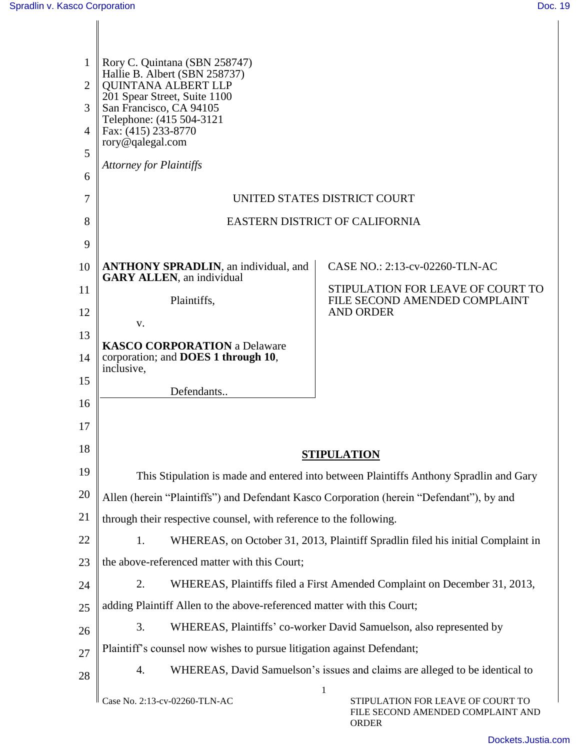| 1              | Rory C. Quintana (SBN 258747)                                                                                          |                                                                                        |  |  |
|----------------|------------------------------------------------------------------------------------------------------------------------|----------------------------------------------------------------------------------------|--|--|
| $\overline{2}$ | Hallie B. Albert (SBN 258737)<br><b>OUINTANA ALBERT LLP</b><br>201 Spear Street, Suite 1100<br>San Francisco, CA 94105 |                                                                                        |  |  |
| 3              |                                                                                                                        |                                                                                        |  |  |
| 4              | Telephone: (415 504-3121<br>Fax: (415) 233-8770                                                                        |                                                                                        |  |  |
| 5              | rory@qalegal.com                                                                                                       |                                                                                        |  |  |
| 6              | <b>Attorney for Plaintiffs</b>                                                                                         |                                                                                        |  |  |
| 7              | UNITED STATES DISTRICT COURT                                                                                           |                                                                                        |  |  |
| 8              | EASTERN DISTRICT OF CALIFORNIA                                                                                         |                                                                                        |  |  |
| 9              |                                                                                                                        |                                                                                        |  |  |
| 10             | <b>ANTHONY SPRADLIN</b> , an individual, and<br><b>GARY ALLEN</b> , an individual                                      | CASE NO.: 2:13-cv-02260-TLN-AC                                                         |  |  |
| 11             |                                                                                                                        | STIPULATION FOR LEAVE OF COURT TO                                                      |  |  |
| 12             | Plaintiffs,                                                                                                            | FILE SECOND AMENDED COMPLAINT<br><b>AND ORDER</b>                                      |  |  |
| 13             | V.                                                                                                                     |                                                                                        |  |  |
| 14             | <b>KASCO CORPORATION</b> a Delaware<br>corporation; and DOES 1 through 10,<br>inclusive,                               |                                                                                        |  |  |
| 15             | Defendants                                                                                                             |                                                                                        |  |  |
| 16             |                                                                                                                        |                                                                                        |  |  |
| 17             |                                                                                                                        |                                                                                        |  |  |
| 18             |                                                                                                                        | <b>STIPULATION</b>                                                                     |  |  |
| 19             |                                                                                                                        | This Stipulation is made and entered into between Plaintiffs Anthony Spradlin and Gary |  |  |
| 20             | Allen (herein "Plaintiffs") and Defendant Kasco Corporation (herein "Defendant"), by and                               |                                                                                        |  |  |
| 21             | through their respective counsel, with reference to the following.                                                     |                                                                                        |  |  |
| 22             | 1.                                                                                                                     | WHEREAS, on October 31, 2013, Plaintiff Spradlin filed his initial Complaint in        |  |  |
| 23             | the above-referenced matter with this Court;                                                                           |                                                                                        |  |  |
| 24             | 2.                                                                                                                     | WHEREAS, Plaintiffs filed a First Amended Complaint on December 31, 2013,              |  |  |
| 25             | adding Plaintiff Allen to the above-referenced matter with this Court;                                                 |                                                                                        |  |  |
| 26             | 3.                                                                                                                     | WHEREAS, Plaintiffs' co-worker David Samuelson, also represented by                    |  |  |
| 27             | Plaintiff's counsel now wishes to pursue litigation against Defendant;                                                 |                                                                                        |  |  |
| 28             | 4.                                                                                                                     | WHEREAS, David Samuelson's issues and claims are alleged to be identical to            |  |  |
|                | Case No. 2:13-cv-02260-TLN-AC                                                                                          | 1<br>STIPULATION FOR LEAVE OF COURT TO<br>FILE SECOND AMENDED COMPLAINT AND            |  |  |

ORDER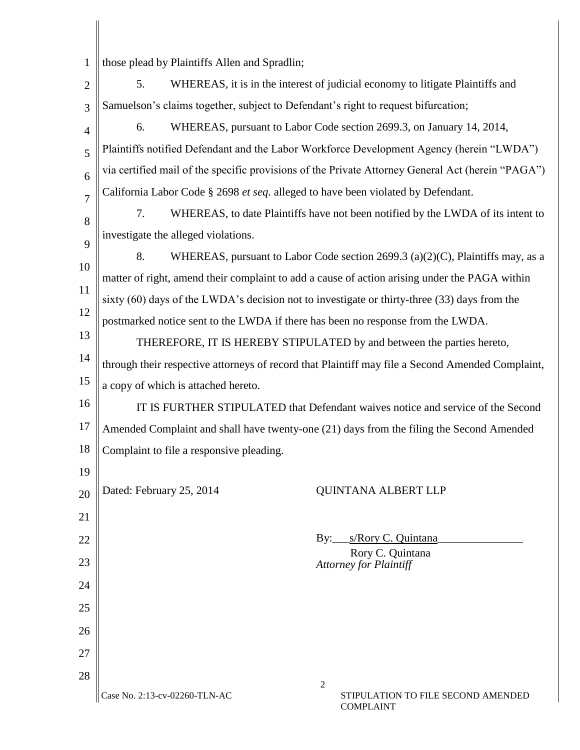| 1    those plead by Plaintiffs Allen and Spradlin; |
|----------------------------------------------------|
|                                                    |

| $\overline{2}$ | 5.<br>WHEREAS, it is in the interest of judicial economy to litigate Plaintiffs and               |  |  |
|----------------|---------------------------------------------------------------------------------------------------|--|--|
| 3              | Samuelson's claims together, subject to Defendant's right to request bifurcation;                 |  |  |
| 4              | WHEREAS, pursuant to Labor Code section 2699.3, on January 14, 2014,<br>6.                        |  |  |
| 5              | Plaintiffs notified Defendant and the Labor Workforce Development Agency (herein "LWDA")          |  |  |
| 6              | via certified mail of the specific provisions of the Private Attorney General Act (herein "PAGA") |  |  |
| $\overline{7}$ | California Labor Code § 2698 et seq. alleged to have been violated by Defendant.                  |  |  |
| 8              | 7.<br>WHEREAS, to date Plaintiffs have not been notified by the LWDA of its intent to             |  |  |
| 9              | investigate the alleged violations.                                                               |  |  |
| 10             | 8.<br>WHEREAS, pursuant to Labor Code section 2699.3 (a)(2)(C), Plaintiffs may, as a              |  |  |
| 11             | matter of right, amend their complaint to add a cause of action arising under the PAGA within     |  |  |
|                | sixty (60) days of the LWDA's decision not to investigate or thirty-three (33) days from the      |  |  |
| 12             | postmarked notice sent to the LWDA if there has been no response from the LWDA.                   |  |  |
| 13             | THEREFORE, IT IS HEREBY STIPULATED by and between the parties hereto,                             |  |  |
| 14             | through their respective attorneys of record that Plaintiff may file a Second Amended Complaint,  |  |  |
| 15             | a copy of which is attached hereto.                                                               |  |  |
| 16             | IT IS FURTHER STIPULATED that Defendant waives notice and service of the Second                   |  |  |
| 17             | Amended Complaint and shall have twenty-one (21) days from the filing the Second Amended          |  |  |
| 18             | Complaint to file a responsive pleading.                                                          |  |  |
| 19             |                                                                                                   |  |  |
| 20             | Dated: February 25, 2014<br><b>QUINTANA ALBERT LLP</b>                                            |  |  |
| 21             |                                                                                                   |  |  |
| 22             | By:____s/Rory C. Quintana                                                                         |  |  |
| 23             | Rory C. Quintana<br><b>Attorney for Plaintiff</b>                                                 |  |  |
| 24             |                                                                                                   |  |  |
| 25             |                                                                                                   |  |  |
| 26             |                                                                                                   |  |  |
| 27             |                                                                                                   |  |  |
| 28             |                                                                                                   |  |  |
|                | $\mathfrak{2}$                                                                                    |  |  |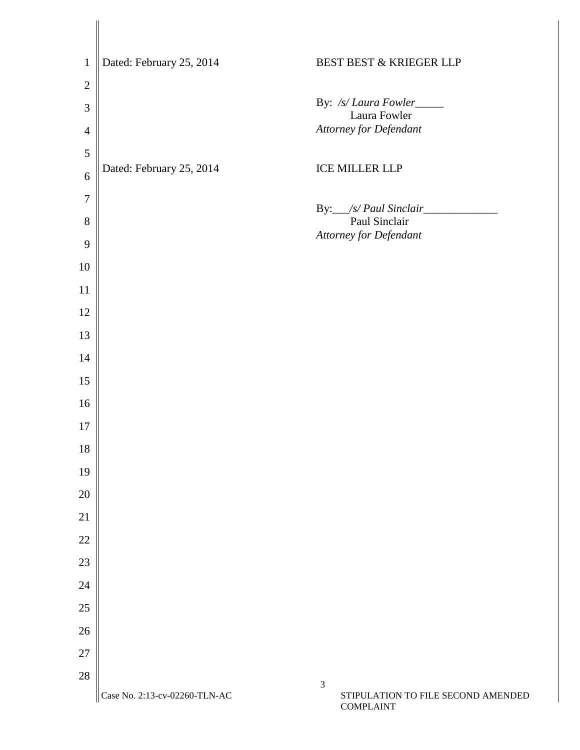| $\mathbf{1}$   | Dated: February 25, 2014      | BEST BEST & KRIEGER LLP                   |
|----------------|-------------------------------|-------------------------------------------|
| $\mathbf{2}$   |                               |                                           |
| 3              |                               | By: /s/ Laura Fowler_____<br>Laura Fowler |
| $\overline{4}$ |                               | Attorney for Defendant                    |
| 5              |                               |                                           |
| 6              | Dated: February 25, 2014      | <b>ICE MILLER LLP</b>                     |
| $\overline{7}$ |                               |                                           |
| $8\,$          |                               | By: /s/ Paul Sinclair<br>Paul Sinclair    |
| 9              |                               | Attorney for Defendant                    |
| 10             |                               |                                           |
| 11             |                               |                                           |
| 12             |                               |                                           |
| 13             |                               |                                           |
| 14             |                               |                                           |
| 15             |                               |                                           |
| 16             |                               |                                           |
| 17             |                               |                                           |
| 18             |                               |                                           |
| 19             |                               |                                           |
| $20\,$         |                               |                                           |
| 21             |                               |                                           |
| 22             |                               |                                           |
| 23             |                               |                                           |
| 24             |                               |                                           |
| $25\,$         |                               |                                           |
| 26             |                               |                                           |
| 27             |                               |                                           |
| $28\,$         |                               | $\mathfrak{Z}$                            |
|                | Case No. 2:13-cv-02260-TLN-AC | STIPULATION TO FILE SECOND AMENDED        |

COMPLAINT